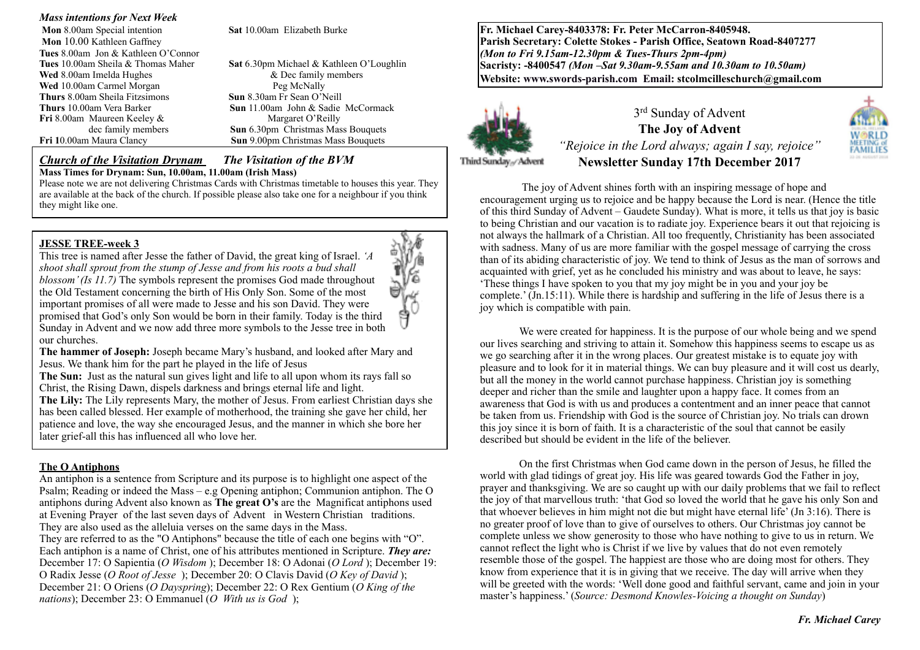|  |  | Mass intentions for Next Week |  |  |  |
|--|--|-------------------------------|--|--|--|
|--|--|-------------------------------|--|--|--|

| Mon 8.00am Special intention               |
|--------------------------------------------|
| Mon 10.00 Kathleen Gaffney                 |
| <b>Tues</b> 8.00am Jon & Kathleen O'Connor |
| <b>Tues</b> 10.00am Sheila & Thomas Maher  |
| <b>Wed</b> 8.00am Imelda Hughes            |
| Wed 10.00am Carmel Morgan                  |
| <b>Thurs</b> 8.00am Sheila Fitzsimons      |
| <b>Thurs</b> 10.00am Vera Barker           |
| Fri 8.00am Maureen Keeley &                |
| dec family members                         |
| Fri 10.00am Maura Clancy                   |

**Sat 10.00am Elizabeth Burke** 

**Sat** 6.30pm Michael & Kathleen O'Loughlin  $&$  Dec family members Peg McNally **Sun** 8.30am Fr Sean O'Neill **Sun** 11.00am John & Sadie McCormack **Margaret O'Reilly Sun** 6.30pm Christmas Mass Bouquets **Sun** 9.00pm Christmas Mass Bouquets

*Church of the Visitation Drynam**The Visitation of the BVM*

# **Mass Times for Drynam: Sun, 10.00am, 11.00am (Irish Mass)**

Please note we are not delivering Christmas Cards with Christmas timetable to houses this year. They are available at the back of the church. If possible please also take one for a neighbour if you think they might like one.

#### **JESSE TREE-week 3**

This tree is named after Jesse the father of David, the great king of Israel. *'A blossom' (Is 11.7)* The symbols represent the promises God made throughout promised that God's only Son would be born in their family. Today is the third

Sunday in Advent and we now add three more symbols to the Jesse tree in both our churches. **The hammer of Joseph:** Joseph became Mary's husband, and looked after Mary and

*shoot shall sprout from the stump of Jesse and from his roots a bud shall* 

the Old Testament concerning the birth of His Only Son. Some of the most important promises of all were made to Jesse and his son David. They were

Jesus. We thank him for the part he played in the life of Jesus

**The Sun:** Just as the natural sun gives light and life to all upon whom its rays fall so Christ, the Rising Dawn, dispels darkness and brings eternal life and light.

**The Lily:** The Lily represents Mary, the mother of Jesus. From earliest Christian days she has been called blessed. Her example of motherhood, the training she gave her child, her patience and love, the way she encouraged Jesus, and the manner in which she bore her later grief-all this has influenced all who love her.

#### **The O Antiphons**

An antiphon is a sentence from Scripture and its purpose is to highlight one aspect of the Psalm; Reading or indeed the Mass – e.g Opening antiphon; Communion antiphon. The O antiphons during Advent also known as **The great O's** are the Magnificat antiphons used at Evening Prayer of the last seven days of Advent in Western Christian traditions. They are also used as the alleluia verses on the same days in the Mass.

They are referred to as the "O Antiphons" because the title of each one begins with "O". Each antiphon is a name of Christ, one of his attributes mentioned in Scripture. *They are:* December 17: O Sapientia (*O Wisdom* ); December 18: O Adonai (*O Lord* ); December 19: O Radix Jesse (*O Root of Jesse* ); December 20: O Clavis David (*O Key of David* ); December 21: O Oriens (*O Dayspring*); December 22: O Rex Gentium (*O King of the nations*); December 23: O Emmanuel (*O With us is God* );

**Fr. Michael Carey-8403378: Fr. Peter McCarron-8405948. Parish Secretary: Colette Stokes - Parish Office, Seatown Road-8407277**  *(Mon to Fri 9.15am-12.30pm & Tues-Thurs 2pm-4pm)*  **Sacristy: -8400547** *(Mon –Sat 9.30am-9.55am and 10.30am to 10.50am)* **Website: [www.swords-parish.com Email:](http://www.swords-parish.com%20%20email) stcolmcilleschurch@gmail.com**



3rd Sunday of Advent **The Joy of Advent** *"Rejoice in the Lord always; again I say, rejoice"* **Newsletter Sunday 17th December 2017** 



 The joy of Advent shines forth with an inspiring message of hope and encouragement urging us to rejoice and be happy because the Lord is near. (Hence the title of this third Sunday of Advent – Gaudete Sunday). What is more, it tells us that joy is basic to being Christian and our vacation is to radiate joy. Experience bears it out that rejoicing is not always the hallmark of a Christian. All too frequently, Christianity has been associated with sadness. Many of us are more familiar with the gospel message of carrying the cross than of its abiding characteristic of joy. We tend to think of Jesus as the man of sorrows and acquainted with grief, yet as he concluded his ministry and was about to leave, he says: 'These things I have spoken to you that my joy might be in you and your joy be complete.' (Jn.15:11). While there is hardship and suffering in the life of Jesus there is a joy which is compatible with pain.

We were created for happiness. It is the purpose of our whole being and we spend our lives searching and striving to attain it. Somehow this happiness seems to escape us as we go searching after it in the wrong places. Our greatest mistake is to equate joy with pleasure and to look for it in material things. We can buy pleasure and it will cost us dearly, but all the money in the world cannot purchase happiness. Christian joy is something deeper and richer than the smile and laughter upon a happy face. It comes from an awareness that God is with us and produces a contentment and an inner peace that cannot be taken from us. Friendship with God is the source of Christian joy. No trials can drown this joy since it is born of faith. It is a characteristic of the soul that cannot be easily described but should be evident in the life of the believer.

On the first Christmas when God came down in the person of Jesus, he filled the world with glad tidings of great joy. His life was geared towards God the Father in joy, prayer and thanksgiving. We are so caught up with our daily problems that we fail to reflect the joy of that marvellous truth: 'that God so loved the world that he gave his only Son and that whoever believes in him might not die but might have eternal life' (Jn 3:16). There is no greater proof of love than to give of ourselves to others. Our Christmas joy cannot be complete unless we show generosity to those who have nothing to give to us in return. We cannot reflect the light who is Christ if we live by values that do not even remotely resemble those of the gospel. The happiest are those who are doing most for others. They know from experience that it is in giving that we receive. The day will arrive when they will be greeted with the words: 'Well done good and faithful servant, came and join in your master's happiness.' (*Source: Desmond Knowles-Voicing a thought on Sunday*)